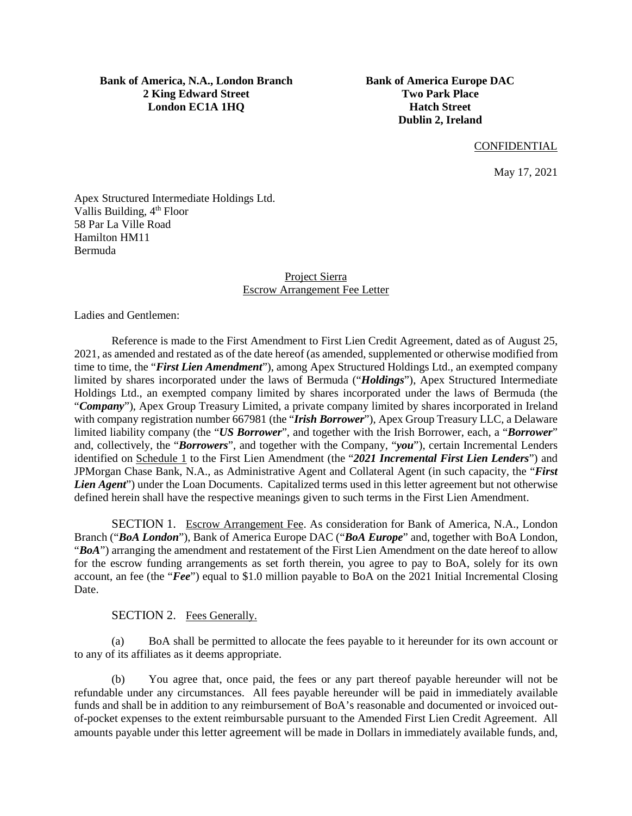**Bank of America, N.A., London Branch 2 King Edward Street London EC1A 1HQ** 

**Bank of America Europe DAC Two Park Place Hatch Street Dublin 2, Ireland** 

#### **CONFIDENTIAL**

May 17, 2021

Apex Structured Intermediate Holdings Ltd. Vallis Building, 4<sup>th</sup> Floor 58 Par La Ville Road Hamilton HM11 Bermuda

> Project Sierra Escrow Arrangement Fee Letter

Ladies and Gentlemen:

Reference is made to the First Amendment to First Lien Credit Agreement, dated as of August 25, 2021, as amended and restated as of the date hereof (as amended, supplemented or otherwise modified from time to time, the "*First Lien Amendment*"), among Apex Structured Holdings Ltd., an exempted company limited by shares incorporated under the laws of Bermuda ("*Holdings*"), Apex Structured Intermediate Holdings Ltd., an exempted company limited by shares incorporated under the laws of Bermuda (the "*Company*"), Apex Group Treasury Limited, a private company limited by shares incorporated in Ireland with company registration number 667981 (the "*Irish Borrower*"), Apex Group Treasury LLC, a Delaware limited liability company (the "*US Borrower*", and together with the Irish Borrower, each, a "*Borrower*" and, collectively, the "*Borrowers*", and together with the Company, "*you*"), certain Incremental Lenders identified on Schedule 1 to the First Lien Amendment (the "*2021 Incremental First Lien Lenders*") and JPMorgan Chase Bank, N.A., as Administrative Agent and Collateral Agent (in such capacity, the "*First Lien Agent*") under the Loan Documents. Capitalized terms used in this letter agreement but not otherwise defined herein shall have the respective meanings given to such terms in the First Lien Amendment.

SECTION 1. Escrow Arrangement Fee. As consideration for Bank of America, N.A., London Branch ("*BoA London*"), Bank of America Europe DAC ("*BoA Europe*" and, together with BoA London, "*BoA*") arranging the amendment and restatement of the First Lien Amendment on the date hereof to allow for the escrow funding arrangements as set forth therein, you agree to pay to BoA, solely for its own account, an fee (the "*Fee*") equal to \$1.0 million payable to BoA on the 2021 Initial Incremental Closing Date.

#### SECTION 2. Fees Generally.

(a) BoA shall be permitted to allocate the fees payable to it hereunder for its own account or to any of its affiliates as it deems appropriate.

(b) You agree that, once paid, the fees or any part thereof payable hereunder will not be refundable under any circumstances. All fees payable hereunder will be paid in immediately available funds and shall be in addition to any reimbursement of BoA's reasonable and documented or invoiced outof-pocket expenses to the extent reimbursable pursuant to the Amended First Lien Credit Agreement. All amounts payable under this letter agreement will be made in Dollars in immediately available funds, and,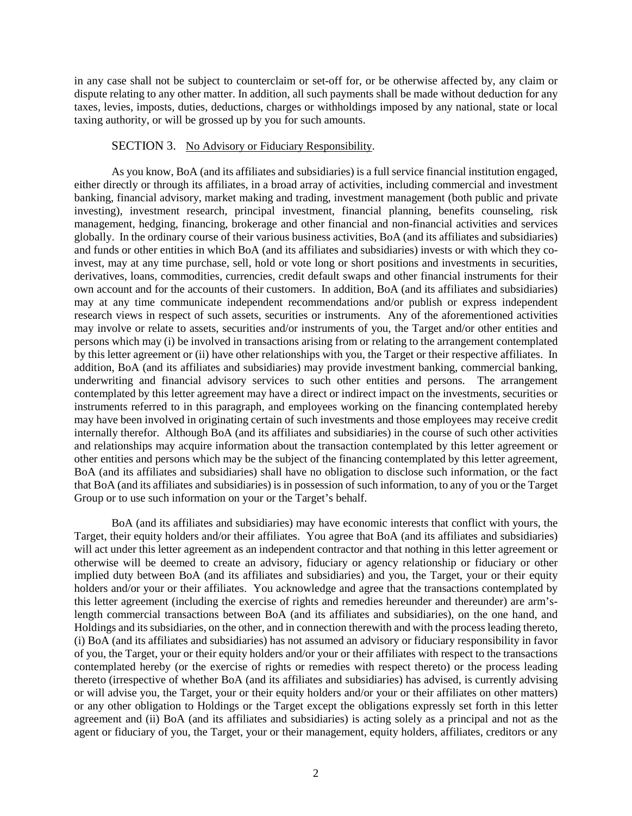in any case shall not be subject to counterclaim or set-off for, or be otherwise affected by, any claim or dispute relating to any other matter. In addition, all such payments shall be made without deduction for any taxes, levies, imposts, duties, deductions, charges or withholdings imposed by any national, state or local taxing authority, or will be grossed up by you for such amounts.

#### SECTION 3. No Advisory or Fiduciary Responsibility.

As you know, BoA (and its affiliates and subsidiaries) is a full service financial institution engaged, either directly or through its affiliates, in a broad array of activities, including commercial and investment banking, financial advisory, market making and trading, investment management (both public and private investing), investment research, principal investment, financial planning, benefits counseling, risk management, hedging, financing, brokerage and other financial and non-financial activities and services globally. In the ordinary course of their various business activities, BoA (and its affiliates and subsidiaries) and funds or other entities in which BoA (and its affiliates and subsidiaries) invests or with which they coinvest, may at any time purchase, sell, hold or vote long or short positions and investments in securities, derivatives, loans, commodities, currencies, credit default swaps and other financial instruments for their own account and for the accounts of their customers. In addition, BoA (and its affiliates and subsidiaries) may at any time communicate independent recommendations and/or publish or express independent research views in respect of such assets, securities or instruments. Any of the aforementioned activities may involve or relate to assets, securities and/or instruments of you, the Target and/or other entities and persons which may (i) be involved in transactions arising from or relating to the arrangement contemplated by this letter agreement or (ii) have other relationships with you, the Target or their respective affiliates. In addition, BoA (and its affiliates and subsidiaries) may provide investment banking, commercial banking, underwriting and financial advisory services to such other entities and persons. The arrangement contemplated by this letter agreement may have a direct or indirect impact on the investments, securities or instruments referred to in this paragraph, and employees working on the financing contemplated hereby may have been involved in originating certain of such investments and those employees may receive credit internally therefor. Although BoA (and its affiliates and subsidiaries) in the course of such other activities and relationships may acquire information about the transaction contemplated by this letter agreement or other entities and persons which may be the subject of the financing contemplated by this letter agreement, BoA (and its affiliates and subsidiaries) shall have no obligation to disclose such information, or the fact that BoA (and its affiliates and subsidiaries) is in possession of such information, to any of you or the Target Group or to use such information on your or the Target's behalf.

BoA (and its affiliates and subsidiaries) may have economic interests that conflict with yours, the Target, their equity holders and/or their affiliates. You agree that BoA (and its affiliates and subsidiaries) will act under this letter agreement as an independent contractor and that nothing in this letter agreement or otherwise will be deemed to create an advisory, fiduciary or agency relationship or fiduciary or other implied duty between BoA (and its affiliates and subsidiaries) and you, the Target, your or their equity holders and/or your or their affiliates. You acknowledge and agree that the transactions contemplated by this letter agreement (including the exercise of rights and remedies hereunder and thereunder) are arm'slength commercial transactions between BoA (and its affiliates and subsidiaries), on the one hand, and Holdings and its subsidiaries, on the other, and in connection therewith and with the process leading thereto, (i) BoA (and its affiliates and subsidiaries) has not assumed an advisory or fiduciary responsibility in favor of you, the Target, your or their equity holders and/or your or their affiliates with respect to the transactions contemplated hereby (or the exercise of rights or remedies with respect thereto) or the process leading thereto (irrespective of whether BoA (and its affiliates and subsidiaries) has advised, is currently advising or will advise you, the Target, your or their equity holders and/or your or their affiliates on other matters) or any other obligation to Holdings or the Target except the obligations expressly set forth in this letter agreement and (ii) BoA (and its affiliates and subsidiaries) is acting solely as a principal and not as the agent or fiduciary of you, the Target, your or their management, equity holders, affiliates, creditors or any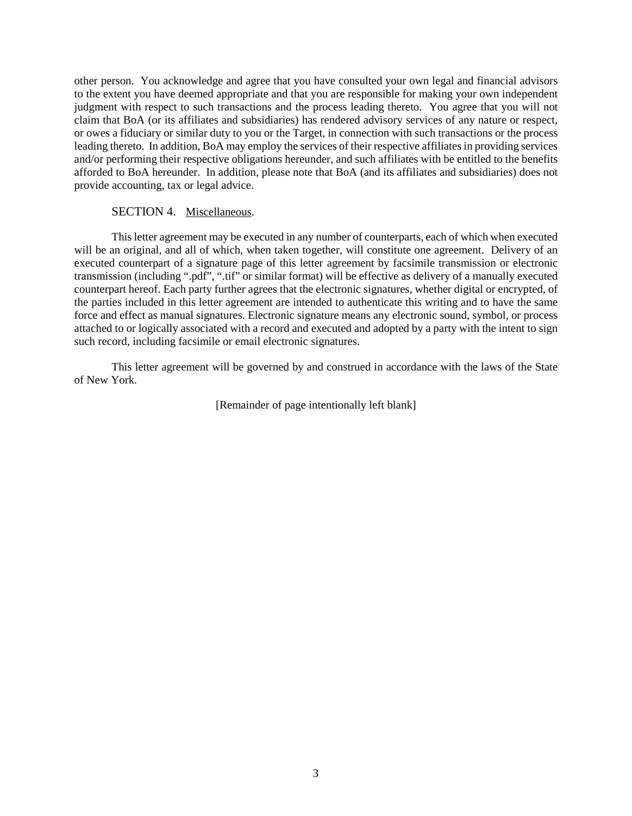other person. You acknowledge and agree that you have consulted your own legal and financial advisors to the extent you have deemed appropriate and that you are responsible for making your own independent judgment with respect to such transactions and the process leading thereto. You agree that you will not claim that BoA (or its affiliates and subsidiaries) has rendered advisory services of any nature or respect, or owes a fiduciary or similar duty to you or the Target, in connection with such transactions or the process leading thereto. In addition, BoA may employ the services of their respective affiliates in providing services and/or performing their respective obligations hereunder, and such affiliates with be entitled to the benefits afforded to BoA hereunder. In addition, please note that BoA (and its affiliates and subsidiaries) does not provide accounting, tax or legal advice.

### SECTION 4. Miscellaneous.

This letter agreement may be executed in any number of counterparts, each of which when executed will be an original, and all of which, when taken together, will constitute one agreement. Delivery of an executed counterpart of a signature page of this letter agreement by facsimile transmission or electronic transmission (including ".pdf", ".tif" or similar format) will be effective as delivery of a manually executed counterpart hereof. Each party further agrees that the electronic signatures, whether digital or encrypted, of the parties included in this letter agreement are intended to authenticate this writing and to have the same force and effect as manual signatures. Electronic signature means any electronic sound, symbol, or process attached to or logically associated with a record and executed and adopted by a party with the intent to sign such record, including facsimile or email electronic signatures.

This letter agreement will be governed by and construed in accordance with the laws of the State of New York.

[Remainder of page intentionally left blank]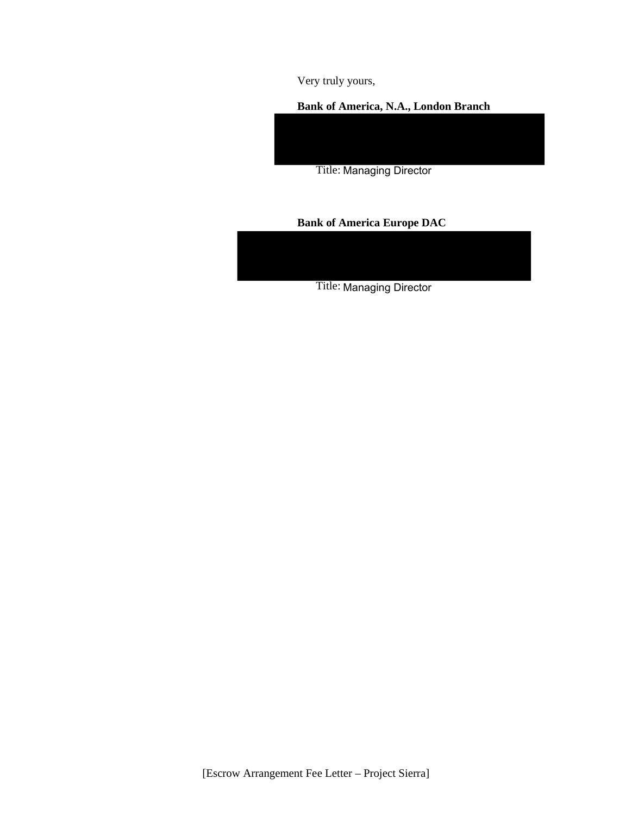Very truly yours,

### **Bank of America, N.A., London Branch**

Title: Managing Director

# **Bank of America Europe DAC**



[Escrow Arrangement Fee Letter – Project Sierra]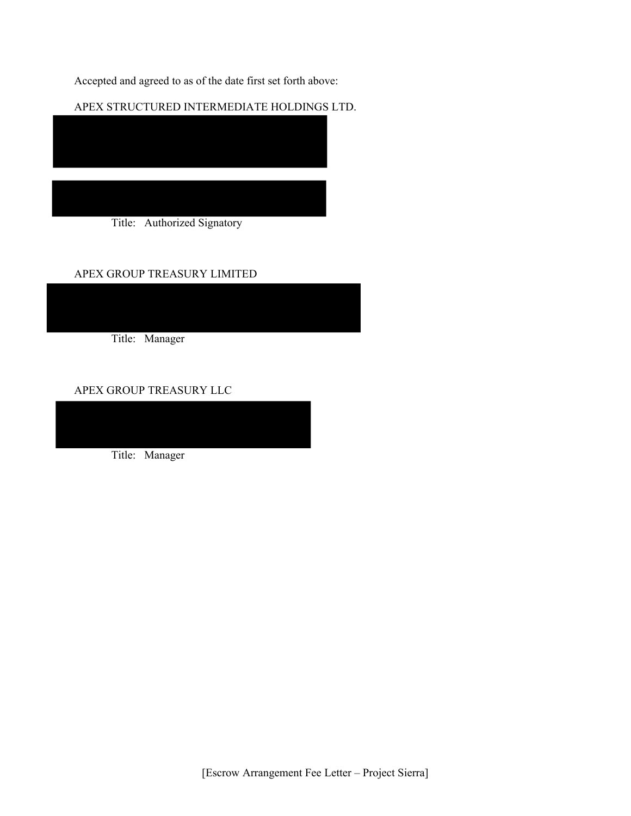Accepted and agreed to as of the date first set forth above:

APEX STRUCTURED INTERMEDIATE HOLDINGS LTD.

Title: Authorized Signatory

## APEX GROUP TREASURY LIMITED

Title: Manager

APEX GROUP TREASURY LLC

Title: Manager